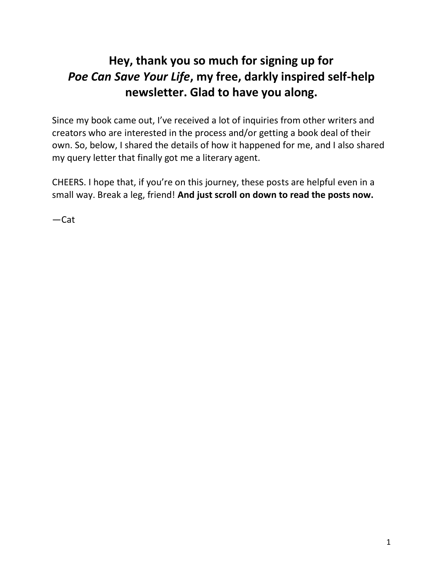# **Hey, thank you so much for signing up for**  *Poe Can Save Your Life***, my free, darkly inspired self-help newsletter. Glad to have you along.**

Since my book came out, I've received a lot of inquiries from other writers and creators who are interested in the process and/or getting a book deal of their own. So, below, I shared the details of how it happened for me, and I also shared my query letter that finally got me a literary agent.

CHEERS. I hope that, if you're on this journey, these posts are helpful even in a small way. Break a leg, friend! **And just scroll on down to read the posts now.**

—Cat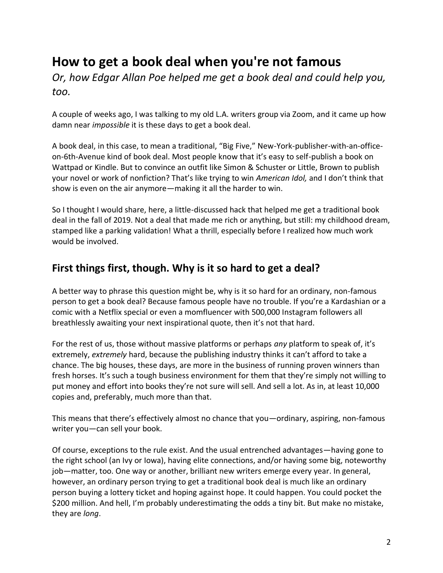# **How to get a book deal when you're not famous**

*Or, how Edgar Allan Poe helped me get a book deal and could help you, too.*

A couple of weeks ago, I was talking to my old L.A. writers group via Zoom, and it came up how damn near *impossible* it is these days to get a book deal.

A book deal, in this case, to mean a traditional, "Big Five," New-York-publisher-with-an-officeon-6th-Avenue kind of book deal. Most people know that it's easy to self-publish a book on Wattpad or Kindle. But to convince an outfit like Simon & Schuster or Little, Brown to publish your novel or work of nonfiction? That's like trying to win *American Idol,* and I don't think that show is even on the air anymore—making it all the harder to win.

So I thought I would share, here, a little-discussed hack that helped me get a traditional book deal in the fall of 2019. Not a deal that made me rich or anything, but still: my childhood dream, stamped like a parking validation! What a thrill, especially before I realized how much work would be involved.

## **First things first, though. Why is it so hard to get a deal?**

A better way to phrase this question might be, why is it so hard for an ordinary, non-famous person to get a book deal? Because famous people have no trouble. If you're a Kardashian or a comic with a Netflix special or even a momfluencer with 500,000 Instagram followers all breathlessly awaiting your next inspirational quote, then it's not that hard.

For the rest of us, those without massive platforms or perhaps *any* platform to speak of, it's extremely, *extremely* hard, because the publishing industry thinks it can't afford to take a chance. The big houses, these days, are more in the business of running proven winners than fresh horses. It's such a tough business environment for them that they're simply not willing to put money and effort into books they're not sure will sell. And sell a lot. As in, at least 10,000 copies and, preferably, much more than that.

This means that there's effectively almost no chance that you—ordinary, aspiring, non-famous writer you—can sell your book.

Of course, exceptions to the rule exist. And the usual entrenched advantages—having gone to the right school (an Ivy or Iowa), having elite connections, and/or having some big, noteworthy job—matter, too. One way or another, brilliant new writers emerge every year. In general, however, an ordinary person trying to get a traditional book deal is much like an ordinary person buying a lottery ticket and hoping against hope. It could happen. You could pocket the \$200 million. And hell, I'm probably underestimating the odds a tiny bit. But make no mistake, they are *long*.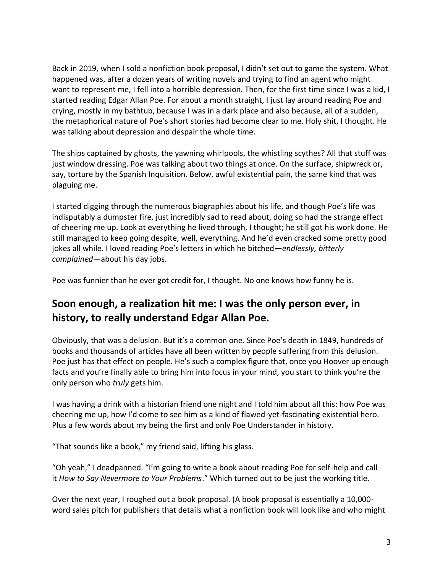Back in 2019, when I sold a nonfiction book proposal, I didn't set out to game the system. What happened was, after a dozen years of writing novels and trying to find an agent who might want to represent me, I fell into a horrible depression. Then, for the first time since I was a kid, I started reading Edgar Allan Poe. For about a month straight, I just lay around reading Poe and crying, mostly in my bathtub, because I was in a dark place and also because, all of a sudden, the metaphorical nature of Poe's short stories had become clear to me. Holy shit, I thought. He was talking about depression and despair the whole time.

The ships captained by ghosts, the yawning whirlpools, the whistling scythes? All that stuff was just window dressing. Poe was talking about two things at once. On the surface, shipwreck or, say, torture by the Spanish Inquisition. Below, awful existential pain, the same kind that was plaguing me.

I started digging through the numerous biographies about his life, and though Poe's life was indisputably a dumpster fire, just incredibly sad to read about, doing so had the strange effect of cheering me up. Look at everything he lived through, I thought; he still got his work done. He still managed to keep going despite, well, everything. And he'd even cracked some pretty good jokes all while. I loved reading Poe's letters in which he bitched—*endlessly, bitterly complained*—about his day jobs.

Poe was funnier than he ever got credit for, I thought. No one knows how funny he is.

## **Soon enough, a realization hit me: I was the only person ever, in history, to really understand Edgar Allan Poe.**

Obviously, that was a delusion. But it's a common one. Since Poe's death in 1849, hundreds of books and thousands of articles have all been written by people suffering from this delusion. Poe just has that effect on people. He's such a complex figure that, once you Hoover up enough facts and you're finally able to bring him into focus in your mind, you start to think you're the only person who *truly* gets him.

I was having a drink with a historian friend one night and I told him about all this: how Poe was cheering me up, how I'd come to see him as a kind of flawed-yet-fascinating existential hero. Plus a few words about my being the first and only Poe Understander in history.

"That sounds like a book," my friend said, lifting his glass.

"Oh yeah," I deadpanned. "I'm going to write a book about reading Poe for self-help and call it *How to Say Nevermore to Your Problems*." Which turned out to be just the working title.

Over the next year, I roughed out a book proposal. (A book proposal is essentially a 10,000 word sales pitch for publishers that details what a nonfiction book will look like and who might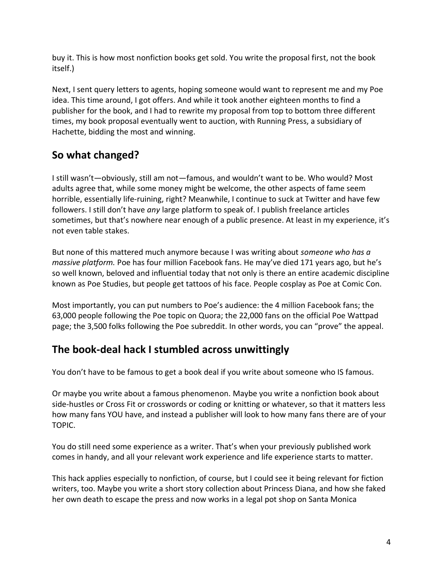buy it. This is how most nonfiction books get sold. You write the proposal first, not the book itself.)

Next, I sent query letters to agents, hoping someone would want to represent me and my Poe idea. This time around, I got offers. And while it took another eighteen months to find a publisher for the book, and I had to rewrite my proposal from top to bottom three different times, my book proposal eventually went to auction, with Running Press, a subsidiary of Hachette, bidding the most and winning.

## **So what changed?**

I still wasn't—obviously, still am not—famous, and wouldn't want to be. Who would? Most adults agree that, while some money might be welcome, the other aspects of fame seem horrible, essentially life-ruining, right? Meanwhile, I continue to suck at Twitter and have few followers. I still don't have *any* large platform to speak of. I publish freelance articles sometimes, but that's nowhere near enough of a public presence. At least in my experience, it's not even table stakes.

But none of this mattered much anymore because I was writing about *someone who has a massive platform.* Poe has four million Facebook fans. He may've died 171 years ago, but he's so well known, beloved and influential today that not only is there an entire academic discipline known as Poe Studies, but people get tattoos of his face. People cosplay as Poe at Comic Con.

Most importantly, you can put numbers to Poe's audience: the 4 million Facebook fans; the 63,000 people following the Poe topic on Quora; the 22,000 fans on the official Poe Wattpad page; the 3,500 folks following the Poe subreddit. In other words, you can "prove" the appeal.

## **The book-deal hack I stumbled across unwittingly**

You don't have to be famous to get a book deal if you write about someone who IS famous.

Or maybe you write about a famous phenomenon. Maybe you write a nonfiction book about side-hustles or Cross Fit or crosswords or coding or knitting or whatever, so that it matters less how many fans YOU have, and instead a publisher will look to how many fans there are of your TOPIC.

You do still need some experience as a writer. That's when your previously published work comes in handy, and all your relevant work experience and life experience starts to matter.

This hack applies especially to nonfiction, of course, but I could see it being relevant for fiction writers, too. Maybe you write a short story collection about Princess Diana, and how she faked her own death to escape the press and now works in a legal pot shop on Santa Monica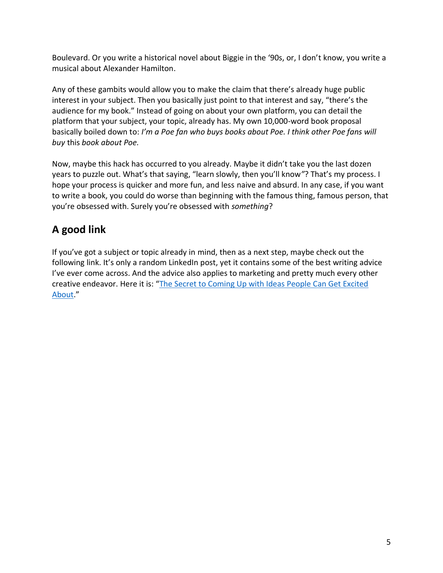Boulevard. Or you write a historical novel about Biggie in the '90s, or, I don't know, you write a musical about Alexander Hamilton.

Any of these gambits would allow you to make the claim that there's already huge public interest in your subject. Then you basically just point to that interest and say, "there's the audience for my book." Instead of going on about your own platform, you can detail the platform that your subject, your topic, already has. My own 10,000-word book proposal basically boiled down to: *I'm a Poe fan who buys books about Poe. I think other Poe fans will buy* this *book about Poe.*

Now, maybe this hack has occurred to you already. Maybe it didn't take you the last dozen years to puzzle out. What's that saying, "learn slowly, then you'll know*"*? That's my process. I hope your process is quicker and more fun, and less naive and absurd. In any case, if you want to write a book, you could do worse than beginning with the famous thing, famous person, that you're obsessed with. Surely you're obsessed with *something*?

## **A good link**

If you've got a subject or topic already in mind, then as a next step, maybe check out the following link. It's only a random LinkedIn post, yet it contains some of the best writing advice I've ever come across. And the advice also applies to marketing and pretty much every other creative endeavor. Here it is: "[The Secret to Coming Up with Ideas People Can Get Excited](https://www.linkedin.com/pulse/secret-coming-up-ideas-people-can-get-excited-eric-nelson/?trackingId=3RLPUfGJL1BFfJ84tzwp%2Bw%3D%3D)  [About](https://www.linkedin.com/pulse/secret-coming-up-ideas-people-can-get-excited-eric-nelson/?trackingId=3RLPUfGJL1BFfJ84tzwp%2Bw%3D%3D)."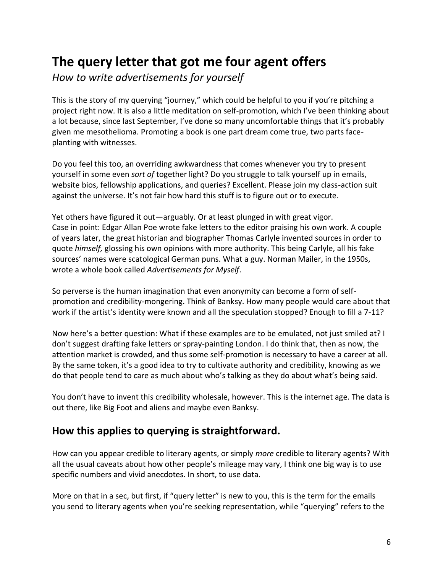# **The query letter that got me four agent offers**

*How to write advertisements for yourself*

This is the story of my querying "journey," which could be helpful to you if you're pitching a project right now. It is also a little meditation on self-promotion, which I've been thinking about a lot because, since last September, I've done so many uncomfortable things that it's probably given me mesothelioma. Promoting a book is one part dream come true, two parts faceplanting with witnesses.

Do you feel this too, an overriding awkwardness that comes whenever you try to present yourself in some even *sort of* together light? Do you struggle to talk yourself up in emails, website bios, fellowship applications, and queries? Excellent. Please join my class-action suit against the universe. It's not fair how hard this stuff is to figure out or to execute.

Yet others have figured it out—arguably. Or at least plunged in with great vigor. Case in point: Edgar Allan Poe wrote fake letters to the editor praising his own work. A couple of years later, the great historian and biographer Thomas Carlyle invented sources in order to quote *himself,* glossing his own opinions with more authority. This being Carlyle, all his fake sources' names were scatological German puns. What a guy. Norman Mailer, in the 1950s, wrote a whole book called *Advertisements for Myself*.

So perverse is the human imagination that even anonymity can become a form of selfpromotion and credibility-mongering. Think of Banksy. How many people would care about that work if the artist's identity were known and all the speculation stopped? Enough to fill a 7-11?

Now here's a better question: What if these examples are to be emulated, not just smiled at? I don't suggest drafting fake letters or spray-painting London. I do think that, then as now, the attention market is crowded, and thus some self-promotion is necessary to have a career at all. By the same token, it's a good idea to try to cultivate authority and credibility, knowing as we do that people tend to care as much about who's talking as they do about what's being said.

You don't have to invent this credibility wholesale, however. This is the internet age. The data is out there, like Big Foot and aliens and maybe even Banksy.

## **How this applies to querying is straightforward.**

How can you appear credible to literary agents, or simply *more* credible to literary agents? With all the usual caveats about how other people's mileage may vary, I think one big way is to use specific numbers and vivid anecdotes. In short, to use data.

More on that in a sec, but first, if "query letter" is new to you, this is the term for the emails you send to literary agents when you're seeking representation, while "querying" refers to the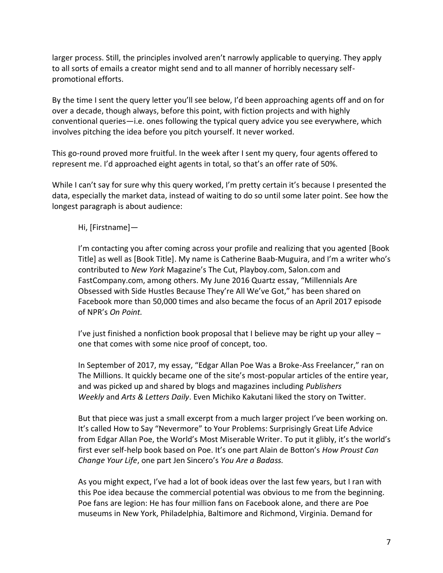larger process. Still, the principles involved aren't narrowly applicable to querying. They apply to all sorts of emails a creator might send and to all manner of horribly necessary selfpromotional efforts.

By the time I sent the query letter you'll see below, I'd been approaching agents off and on for over a decade, though always, before this point, with fiction projects and with highly conventional queries—i.e. ones following the typical query advice you see everywhere, which involves pitching the idea before you pitch yourself. It never worked.

This go-round proved more fruitful. In the week after I sent my query, four agents offered to represent me. I'd approached eight agents in total, so that's an offer rate of 50%.

While I can't say for sure why this query worked, I'm pretty certain it's because I presented the data, especially the market data, instead of waiting to do so until some later point. See how the longest paragraph is about audience:

#### Hi, [Firstname]—

I'm contacting you after coming across your profile and realizing that you agented [Book Title] as well as [Book Title]. My name is Catherine Baab-Muguira, and I'm a writer who's contributed to *New York* Magazine's The Cut, Playboy.com, Salon.com and FastCompany.com, among others. My June 2016 Quartz essay, "Millennials Are Obsessed with Side Hustles Because They're All We've Got," has been shared on Facebook more than 50,000 times and also became the focus of an April 2017 episode of NPR's *On Point.*

I've just finished a nonfiction book proposal that I believe may be right up your alley – one that comes with some nice proof of concept, too.

In September of 2017, my essay, "Edgar Allan Poe Was a Broke-Ass Freelancer," ran on The Millions. It quickly became one of the site's most-popular articles of the entire year, and was picked up and shared by blogs and magazines including *Publishers Weekly* and *Arts & Letters Daily*. Even Michiko Kakutani liked the story on Twitter.

But that piece was just a small excerpt from a much larger project I've been working on. It's called How to Say "Nevermore" to Your Problems: Surprisingly Great Life Advice from Edgar Allan Poe, the World's Most Miserable Writer. To put it glibly, it's the world's first ever self-help book based on Poe. It's one part Alain de Botton's *How Proust Can Change Your Life*, one part Jen Sincero's *You Are a Badass.*

As you might expect, I've had a lot of book ideas over the last few years, but I ran with this Poe idea because the commercial potential was obvious to me from the beginning. Poe fans are legion: He has four million fans on Facebook alone, and there are Poe museums in New York, Philadelphia, Baltimore and Richmond, Virginia. Demand for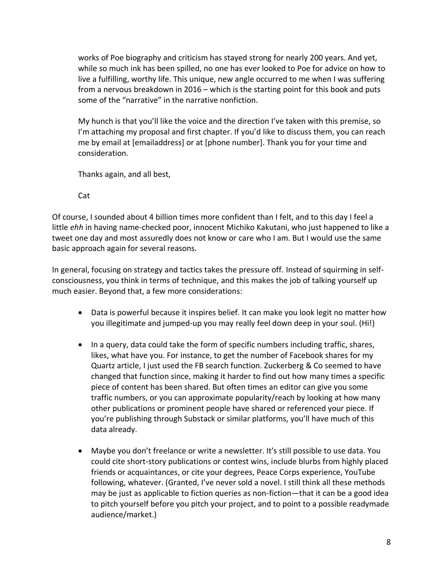works of Poe biography and criticism has stayed strong for nearly 200 years. And yet, while so much ink has been spilled, no one has ever looked to Poe for advice on how to live a fulfilling, worthy life. This unique, new angle occurred to me when I was suffering from a nervous breakdown in 2016 – which is the starting point for this book and puts some of the "narrative" in the narrative nonfiction.

My hunch is that you'll like the voice and the direction I've taken with this premise, so I'm attaching my proposal and first chapter. If you'd like to discuss them, you can reach me by email at [emailaddress] or at [phone number]. Thank you for your time and consideration.

Thanks again, and all best,

Cat

Of course, I sounded about 4 billion times more confident than I felt, and to this day I feel a little *ehh* in having name-checked poor, innocent Michiko Kakutani, who just happened to like a tweet one day and most assuredly does not know or care who I am. But I would use the same basic approach again for several reasons.

In general, focusing on strategy and tactics takes the pressure off. Instead of squirming in selfconsciousness, you think in terms of technique, and this makes the job of talking yourself up much easier. Beyond that, a few more considerations:

- Data is powerful because it inspires belief. It can make you look legit no matter how you illegitimate and jumped-up you may really feel down deep in your soul. (Hi!)
- In a query, data could take the form of specific numbers including traffic, shares, likes, what have you. For instance, to get the number of Facebook shares for my Quartz article, I just used the FB search function. Zuckerberg & Co seemed to have changed that function since, making it harder to find out how many times a specific piece of content has been shared. But often times an editor can give you some traffic numbers, or you can approximate popularity/reach by looking at how many other publications or prominent people have shared or referenced your piece. If you're publishing through Substack or similar platforms, you'll have much of this data already.
- Maybe you don't freelance or write a newsletter. It's still possible to use data. You could cite short-story publications or contest wins, include blurbs from highly placed friends or acquaintances, or cite your degrees, Peace Corps experience, YouTube following, whatever. (Granted, I've never sold a novel. I still think all these methods may be just as applicable to fiction queries as non-fiction—that it can be a good idea to pitch yourself before you pitch your project, and to point to a possible readymade audience/market.)